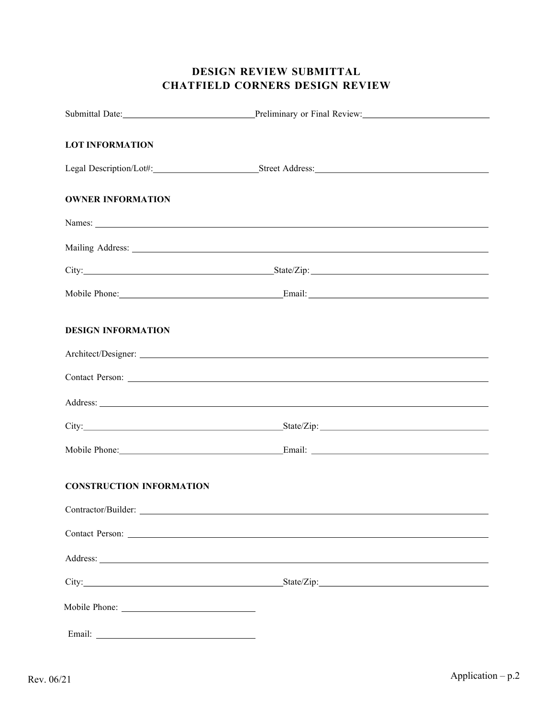# DESIGN REVIEW SUBMITTAL CHATFIELD CORNERS DESIGN REVIEW

|                                 | Submittal Date: Preliminary or Final Review: 1998. [2010] Material Date: 1998. [2010] Preliminary or Final Review:                                                                                                             |
|---------------------------------|--------------------------------------------------------------------------------------------------------------------------------------------------------------------------------------------------------------------------------|
| <b>LOT INFORMATION</b>          |                                                                                                                                                                                                                                |
|                                 |                                                                                                                                                                                                                                |
|                                 | Legal Description/Lot#: Street Address:                                                                                                                                                                                        |
| <b>OWNER INFORMATION</b>        |                                                                                                                                                                                                                                |
|                                 | Names: Names: Names and the same of the same of the same of the same of the same of the same of the same of the same of the same of the same of the same of the same of the same of the same of the same of the same of the sa |
|                                 |                                                                                                                                                                                                                                |
|                                 |                                                                                                                                                                                                                                |
|                                 |                                                                                                                                                                                                                                |
| <b>DESIGN INFORMATION</b>       |                                                                                                                                                                                                                                |
|                                 |                                                                                                                                                                                                                                |
|                                 |                                                                                                                                                                                                                                |
|                                 | Address: National Address: National Address: National Address: National Address: National Address: National Address: National Address: National Address: National Address: National Address: National Address: National Addres |
|                                 |                                                                                                                                                                                                                                |
|                                 |                                                                                                                                                                                                                                |
| <b>CONSTRUCTION INFORMATION</b> |                                                                                                                                                                                                                                |
| Contractor/Builder:             |                                                                                                                                                                                                                                |
|                                 |                                                                                                                                                                                                                                |
|                                 | Address: No. 2016. The contract of the contract of the contract of the contract of the contract of the contract of the contract of the contract of the contract of the contract of the contract of the contract of the contrac |
|                                 |                                                                                                                                                                                                                                |
|                                 |                                                                                                                                                                                                                                |
|                                 |                                                                                                                                                                                                                                |
|                                 |                                                                                                                                                                                                                                |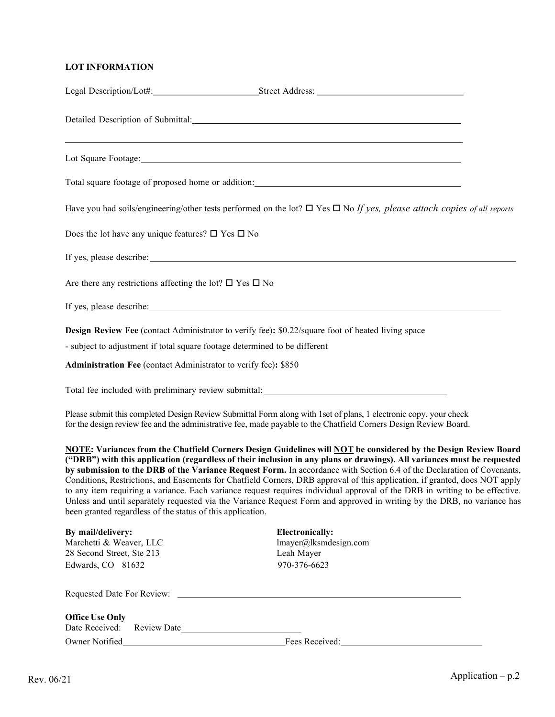### LOT INFORMATION

| Detailed Description of Submittal: Detailed Description of Submittal:                                                                                                                                                                  |                                                                                                                                                                                                                                                                                                                                                                                                                                                                                                                                                                                                                                                                                                                                                              |
|----------------------------------------------------------------------------------------------------------------------------------------------------------------------------------------------------------------------------------------|--------------------------------------------------------------------------------------------------------------------------------------------------------------------------------------------------------------------------------------------------------------------------------------------------------------------------------------------------------------------------------------------------------------------------------------------------------------------------------------------------------------------------------------------------------------------------------------------------------------------------------------------------------------------------------------------------------------------------------------------------------------|
| <u> 1989 - Johann Stoff, deutscher Stoff, der Stoff, der Stoff, der Stoff, der Stoff, der Stoff, der Stoff, der S</u>                                                                                                                  |                                                                                                                                                                                                                                                                                                                                                                                                                                                                                                                                                                                                                                                                                                                                                              |
|                                                                                                                                                                                                                                        |                                                                                                                                                                                                                                                                                                                                                                                                                                                                                                                                                                                                                                                                                                                                                              |
|                                                                                                                                                                                                                                        | Have you had soils/engineering/other tests performed on the lot? $\Box$ Yes $\Box$ No If yes, please attach copies of all reports                                                                                                                                                                                                                                                                                                                                                                                                                                                                                                                                                                                                                            |
| Does the lot have any unique features? $\square$ Yes $\square$ No                                                                                                                                                                      |                                                                                                                                                                                                                                                                                                                                                                                                                                                                                                                                                                                                                                                                                                                                                              |
|                                                                                                                                                                                                                                        |                                                                                                                                                                                                                                                                                                                                                                                                                                                                                                                                                                                                                                                                                                                                                              |
| Are there any restrictions affecting the lot? $\square$ Yes $\square$ No                                                                                                                                                               |                                                                                                                                                                                                                                                                                                                                                                                                                                                                                                                                                                                                                                                                                                                                                              |
|                                                                                                                                                                                                                                        |                                                                                                                                                                                                                                                                                                                                                                                                                                                                                                                                                                                                                                                                                                                                                              |
| <b>Design Review Fee</b> (contact Administrator to verify fee): \$0.22/square foot of heated living space                                                                                                                              |                                                                                                                                                                                                                                                                                                                                                                                                                                                                                                                                                                                                                                                                                                                                                              |
| - subject to adjustment if total square footage determined to be different                                                                                                                                                             |                                                                                                                                                                                                                                                                                                                                                                                                                                                                                                                                                                                                                                                                                                                                                              |
| Administration Fee (contact Administrator to verify fee): \$850                                                                                                                                                                        |                                                                                                                                                                                                                                                                                                                                                                                                                                                                                                                                                                                                                                                                                                                                                              |
|                                                                                                                                                                                                                                        |                                                                                                                                                                                                                                                                                                                                                                                                                                                                                                                                                                                                                                                                                                                                                              |
| Please submit this completed Design Review Submittal Form along with 1 set of plans, 1 electronic copy, your check<br>for the design review fee and the administrative fee, made payable to the Chatfield Corners Design Review Board. |                                                                                                                                                                                                                                                                                                                                                                                                                                                                                                                                                                                                                                                                                                                                                              |
| been granted regardless of the status of this application.                                                                                                                                                                             | NOTE: Variances from the Chatfield Corners Design Guidelines will NOT be considered by the Design Review Board<br>("DRB") with this application (regardless of their inclusion in any plans or drawings). All variances must be requested<br>by submission to the DRB of the Variance Request Form. In accordance with Section 6.4 of the Declaration of Covenants,<br>Conditions, Restrictions, and Easements for Chatfield Corners, DRB approval of this application, if granted, does NOT apply<br>to any item requiring a variance. Each variance request requires individual approval of the DRB in writing to be effective.<br>Unless and until separately requested via the Variance Request Form and approved in writing by the DRB, no variance has |
| By mail/delivery:                                                                                                                                                                                                                      | <b>Electronically:</b>                                                                                                                                                                                                                                                                                                                                                                                                                                                                                                                                                                                                                                                                                                                                       |
| Marchetti & Weaver, LLC                                                                                                                                                                                                                | lmayer@lksmdesign.com                                                                                                                                                                                                                                                                                                                                                                                                                                                                                                                                                                                                                                                                                                                                        |
| 28 Second Street, Ste 213                                                                                                                                                                                                              | Leah Mayer                                                                                                                                                                                                                                                                                                                                                                                                                                                                                                                                                                                                                                                                                                                                                   |
| Edwards, CO 81632                                                                                                                                                                                                                      | 970-376-6623                                                                                                                                                                                                                                                                                                                                                                                                                                                                                                                                                                                                                                                                                                                                                 |
|                                                                                                                                                                                                                                        |                                                                                                                                                                                                                                                                                                                                                                                                                                                                                                                                                                                                                                                                                                                                                              |
| <b>Office Use Only</b><br>Date Received: Review Date                                                                                                                                                                                   |                                                                                                                                                                                                                                                                                                                                                                                                                                                                                                                                                                                                                                                                                                                                                              |
|                                                                                                                                                                                                                                        | Owner Notified <b>Example 2018</b> Fees Received:                                                                                                                                                                                                                                                                                                                                                                                                                                                                                                                                                                                                                                                                                                            |
|                                                                                                                                                                                                                                        |                                                                                                                                                                                                                                                                                                                                                                                                                                                                                                                                                                                                                                                                                                                                                              |

Legal Description/Lot#: Street Address: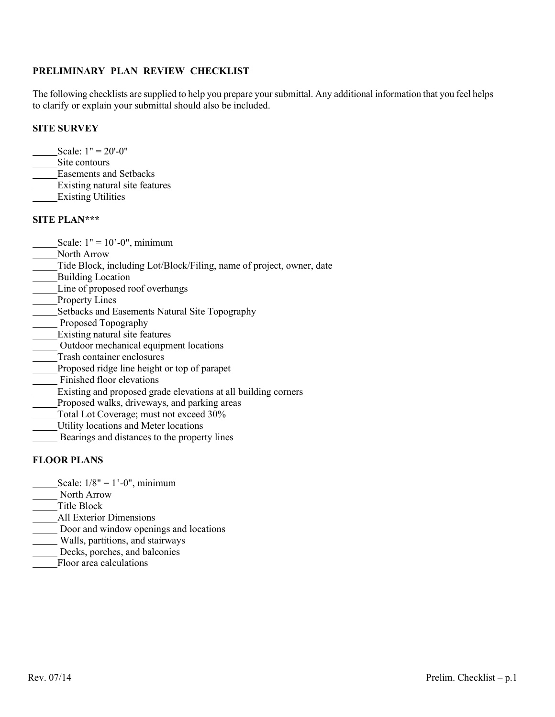### PRELIMINARY PLAN REVIEW CHECKLIST

The following checklists are supplied to help you prepare your submittal. Any additional information that you feel helps to clarify or explain your submittal should also be included.

#### SITE SURVEY

- Scale:  $1" = 20'-0"$
- Site contours
- Easements and Setbacks
- Existing natural site features
- Existing Utilities

#### SITE PLAN\*\*\*

- Scale:  $1" = 10' 0"$ , minimum
- North Arrow
- Tide Block, including Lot/Block/Filing, name of project, owner, date
- **Building Location**
- Line of proposed roof overhangs
- Property Lines
- Setbacks and Easements Natural Site Topography
- Proposed Topography
- **Existing natural site features**
- Outdoor mechanical equipment locations
- Trash container enclosures
- Proposed ridge line height or top of parapet
- Finished floor elevations
- Existing and proposed grade elevations at all building corners
- Proposed walks, driveways, and parking areas
- Total Lot Coverage; must not exceed 30%
- Utility locations and Meter locations
- Bearings and distances to the property lines

### FLOOR PLANS

- Scale:  $1/8$ " =  $1'-0$ ", minimum
- North Arrow
- Title Block
- All Exterior Dimensions
- Door and window openings and locations
- Walls, partitions, and stairways
- Decks, porches, and balconies
- Floor area calculations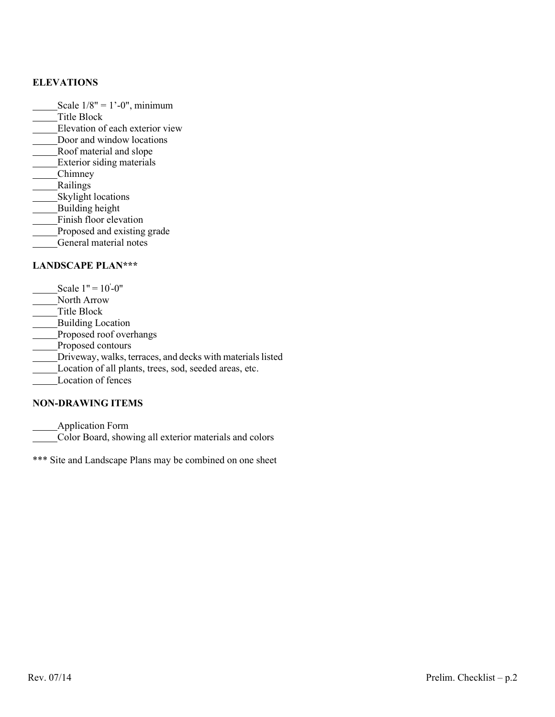## ELEVATIONS

- Scale  $1/8$ " = 1'-0", minimum
- Title Block
- Elevation of each exterior view
- Door and window locations
- Roof material and slope
- **Exterior siding materials**
- **Chimney**
- Railings
- Skylight locations
- **Building height**
- Finish floor elevation
- Proposed and existing grade
- General material notes

## LANDSCAPE PLAN\*\*\*

- Scale  $1" = 10' 0"$
- North Arrow
- Title Block
- **Building Location**
- Proposed roof overhangs
- **Proposed contours**
- Driveway, walks, terraces, and decks with materials listed
- Location of all plants, trees, sod, seeded areas, etc.
- Location of fences

## NON-DRAWING ITEMS

Application Form

Color Board, showing all exterior materials and colors

\*\*\* Site and Landscape Plans may be combined on one sheet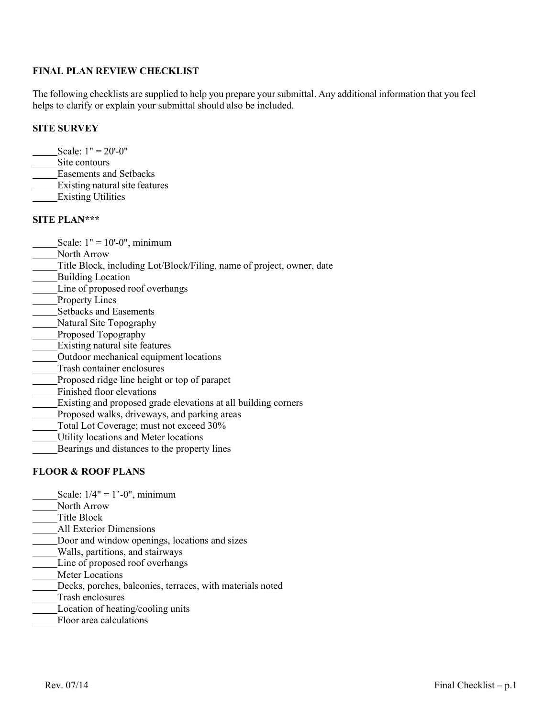#### FINAL PLAN REVIEW CHECKLIST

The following checklists are supplied to help you prepare your submittal. Any additional information that you feel helps to clarify or explain your submittal should also be included.

#### SITE SURVEY

- Scale:  $1" = 20'$ -0"
- Site contours
- Easements and Setbacks
- Existing natural site features
- Existing Utilities

#### SITE PLAN\*\*\*

- Scale:  $1" = 10'-0"$ , minimum
- North Arrow
- Title Block, including Lot/Block/Filing, name of project, owner, date
- **Building Location**
- Line of proposed roof overhangs
- Property Lines
- Setbacks and Easements
- Natural Site Topography
- **Proposed Topography**
- Existing natural site features
- Outdoor mechanical equipment locations
- Trash container enclosures
- Proposed ridge line height or top of parapet
- Finished floor elevations
- Existing and proposed grade elevations at all building corners
- Proposed walks, driveways, and parking areas
- Total Lot Coverage; must not exceed 30%
- Utility locations and Meter locations
- Bearings and distances to the property lines

#### FLOOR & ROOF PLANS

- Scale:  $1/4$ " =  $1'-0$ ", minimum
- North Arrow
- Title Block
- All Exterior Dimensions
- Door and window openings, locations and sizes
- Walls, partitions, and stairways
- Line of proposed roof overhangs
- Meter Locations
- Decks, porches, balconies, terraces, with materials noted
- Trash enclosures
- Location of heating/cooling units
- Floor area calculations